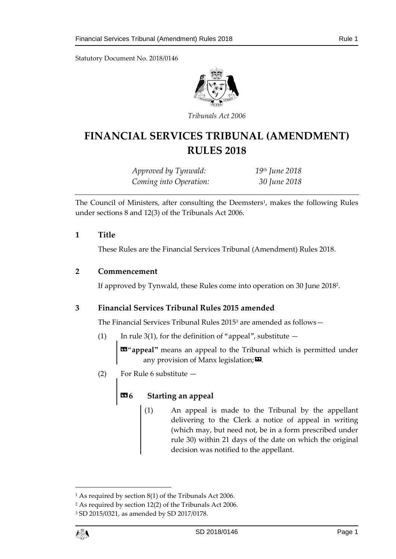Statutory Document No. 2018/0146



*Tribunals Act 2006*

# **FINANCIAL SERVICES TRIBUNAL (AMENDMENT) RULES 2018**

*Approved by Tynwald: 19th June 2018 Coming into Operation: 30 June 2018*

The Council of Ministers, after consulting the Deemsters<sup>1</sup>, makes the following Rules under sections 8 and 12(3) of the Tribunals Act 2006.

#### **1 Title**

These Rules are the Financial Services Tribunal (Amendment) Rules 2018.

### **2 Commencement**

If approved by Tynwald, these Rules come into operation on 30 June 2018<sup>2</sup> .

### **3 Financial Services Tribunal Rules 2015 amended**

The Financial Services Tribunal Rules 2015<sup>3</sup> are amended as follows—

(1) In rule 3(1), for the definition of "appeal", substitute  $-$ 

«"**appeal"** means an appeal to the Tribunal which is permitted under any provision of Manx legislation; $\boldsymbol{\mathsf{\Xi}}$ .

(2) For Rule 6 substitute —

## **«6 Starting an appeal**

(1) An appeal is made to the Tribunal by the appellant delivering to the Clerk a notice of appeal in writing (which may, but need not, be in a form prescribed under rule 30) within 21 days of the date on which the original decision was notified to the appellant.

1

<sup>&</sup>lt;sup>1</sup> As required by section 8(1) of the Tribunals Act 2006.

<sup>2</sup> As required by section 12(2) of the Tribunals Act 2006.

<sup>3</sup> SD 2015/0321, as amended by SD 2017/0178.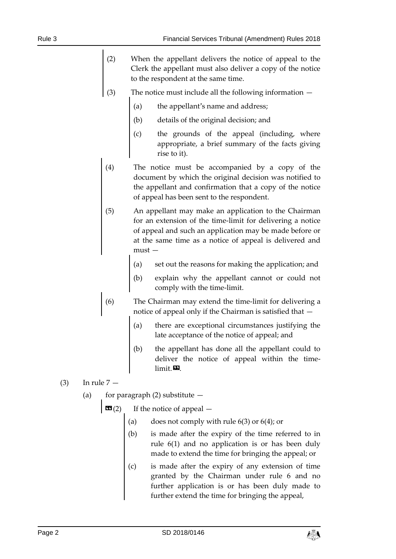- (2) When the appellant delivers the notice of appeal to the Clerk the appellant must also deliver a copy of the notice to the respondent at the same time.
- (3) The notice must include all the following information
	- (a) the appellant's name and address;
	- (b) details of the original decision; and
	- (c) the grounds of the appeal (including, where appropriate, a brief summary of the facts giving rise to it).
- (4) The notice must be accompanied by a copy of the document by which the original decision was notified to the appellant and confirmation that a copy of the notice of appeal has been sent to the respondent.
- (5) An appellant may make an application to the Chairman for an extension of the time-limit for delivering a notice of appeal and such an application may be made before or at the same time as a notice of appeal is delivered and must —
	- (a) set out the reasons for making the application; and
	- (b) explain why the appellant cannot or could not comply with the time-limit.
- (6) The Chairman may extend the time-limit for delivering a notice of appeal only if the Chairman is satisfied that
	- there are exceptional circumstances justifying the late acceptance of the notice of appeal; and
	- (b) the appellant has done all the appellant could to deliver the notice of appeal within the time $limit. 29$ .
- (3) In rule 7
	- (a) for paragraph  $(2)$  substitute  $-$ 
		- $\mathbf{G}(2)$  If the notice of appeal
			- does not comply with rule  $6(3)$  or  $6(4)$ ; or
			- is made after the expiry of the time referred to in rule 6(1) and no application is or has been duly made to extend the time for bringing the appeal; or
			- is made after the expiry of any extension of time granted by the Chairman under rule 6 and no further application is or has been duly made to further extend the time for bringing the appeal,

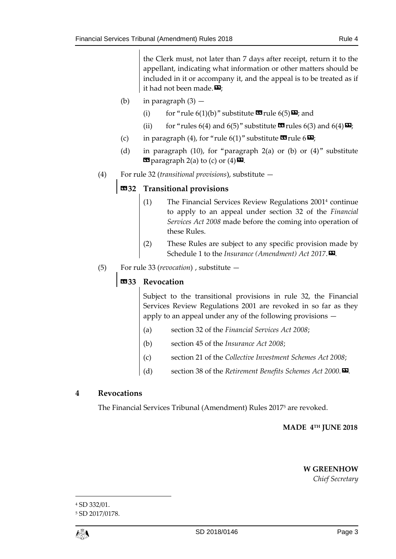the Clerk must, not later than 7 days after receipt, return it to the appellant, indicating what information or other matters should be included in it or accompany it, and the appeal is to be treated as if it had not been made. $\mathbf{E}$ ;

- (b) in paragraph  $(3)$ 
	- (i) for "rule  $6(1)(b)$ " substitute  $\mathbf{I}$  rule  $6(5)\mathbf{E}$ ; and
	- (ii) for "rules 6(4) and 6(5)" substitute  $\mathbf{C}$  rules 6(3) and 6(4) $\mathbf{E}$ ;
- (c) in paragraph (4), for "rule 6(1)" substitute  $\mathbf{w}_{\text{rule}}$  6 $\mathbf{w}_{\text{i}}$ ;
- (d) in paragraph (10), for "paragraph 2(a) or (b) or  $(4)$ " substitute  $\text{Eq}$  paragraph 2(a) to (c) or  $(4)$   $\text{Eq}$ .
- (4) For rule 32 (*transitional provisions*), substitute —

### «**32 Transitional provisions**

- (1) The Financial Services Review Regulations 2001 <sup>4</sup> continue to apply to an appeal under section 32 of the *Financial Services Act 2008* made before the coming into operation of these Rules.
- (2) These Rules are subject to any specific provision made by Schedule 1 to the *Insurance* (Amendment) Act 2017.
- (5) For rule 33 (*revocation*) , substitute —

### «**33 Revocation**

Subject to the transitional provisions in rule 32, the Financial Services Review Regulations 2001 are revoked in so far as they apply to an appeal under any of the following provisions —

- (a) section 32 of the *Financial Services Act 2008*;
- (b) section 45 of the *Insurance Act 2008*;
- (c) section 21 of the *Collective Investment Schemes Act 2008*;
- (d) section 38 of the *Retirement Benefits Schemes Act 2000.».*

### **4 Revocations**

The Financial Services Tribunal (Amendment) Rules 2017<sup>5</sup> are revoked.

### **MADE 4 TH JUNE 2018**

#### **W GREENHOW**

*Chief Secretary*

1

<sup>4</sup> SD 332/01.

<sup>5</sup> SD 2017/0178.